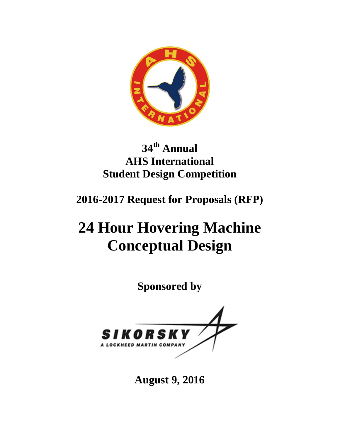

# **34th Annual AHS International Student Design Competition**

**2016-2017 Request for Proposals (RFP)** 

# **24 Hour Hovering Machine Conceptual Design**

**Sponsored by** 



**August 9, 2016**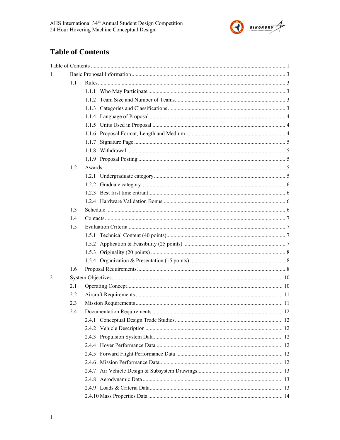

# **Table of Contents**

| $\mathbf{1}$   |     |       |  |
|----------------|-----|-------|--|
|                | 1.1 |       |  |
|                |     |       |  |
|                |     |       |  |
|                |     |       |  |
|                |     |       |  |
|                |     |       |  |
|                |     |       |  |
|                |     | 1.1.7 |  |
|                |     |       |  |
|                |     |       |  |
|                | 1.2 |       |  |
|                |     |       |  |
|                |     |       |  |
|                |     |       |  |
|                |     |       |  |
|                | 1.3 |       |  |
|                | 1.4 |       |  |
|                | 1.5 |       |  |
|                |     |       |  |
|                |     |       |  |
|                |     |       |  |
|                |     |       |  |
|                | 1.6 |       |  |
| $\overline{2}$ |     |       |  |
|                | 2.1 |       |  |
|                | 2.2 |       |  |
|                | 2.3 |       |  |
|                | 2.4 |       |  |
|                |     |       |  |
|                |     |       |  |
|                |     |       |  |
|                |     |       |  |
|                |     |       |  |
|                |     |       |  |
|                |     |       |  |
|                |     |       |  |
|                |     |       |  |
|                |     |       |  |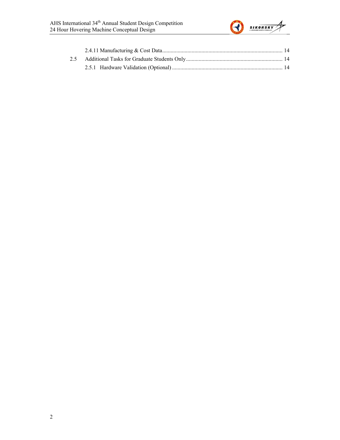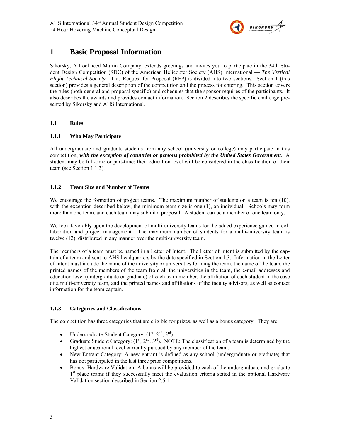

### **1 Basic Proposal Information**

Sikorsky, A Lockheed Martin Company, extends greetings and invites you to participate in the 34th Student Design Competition (SDC) of the American Helicopter Society (AHS) International — *The Vertical Flight Technical Society*. This Request for Proposal (RFP) is divided into two sections. Section 1 (this section) provides a general description of the competition and the process for entering. This section covers the rules (both general and proposal specific) and schedules that the sponsor requires of the participants. It also describes the awards and provides contact information. Section 2 describes the specific challenge presented by Sikorsky and AHS International.

#### **1.1 Rules**

#### **1.1.1 Who May Participate**

All undergraduate and graduate students from any school (university or college) may participate in this competition, *with the exception of countries or persons prohibited by the United States Government*. A student may be full-time or part-time; their education level will be considered in the classification of their team (see Section 1.1.3).

#### **1.1.2 Team Size and Number of Teams**

We encourage the formation of project teams. The maximum number of students on a team is ten (10), with the exception described below; the minimum team size is one (1), an individual. Schools may form more than one team, and each team may submit a proposal. A student can be a member of one team only.

We look favorably upon the development of multi-university teams for the added experience gained in collaboration and project management. The maximum number of students for a multi-university team is twelve (12), distributed in any manner over the multi-university team.

The members of a team must be named in a Letter of Intent. The Letter of Intent is submitted by the captain of a team and sent to AHS headquarters by the date specified in Section 1.3. Information in the Letter of Intent must include the name of the university or universities forming the team, the name of the team, the printed names of the members of the team from all the universities in the team, the e-mail addresses and education level (undergraduate or graduate) of each team member, the affiliation of each student in the case of a multi-university team, and the printed names and affiliations of the faculty advisors, as well as contact information for the team captain.

#### **1.1.3 Categories and Classifications**

The competition has three categories that are eligible for prizes, as well as a bonus category. They are:

- Undergraduate Student Category:  $(1<sup>st</sup>, 2<sup>nd</sup>, 3<sup>rd</sup>)$
- Graduate Student Category:  $(1^{st}, 2^{nd}, 3^{rd})$ . NOTE: The classification of a team is determined by the highest educational level currently pursued by any member of the team.
- New Entrant Category: A new entrant is defined as any school (undergraduate or graduate) that has not participated in the last three prior competitions.
- Bonus: Hardware Validation: A bonus will be provided to each of the undergraduate and graduate <sup>1st</sup> place teams if they successfully meet the evaluation criteria stated in the optional Hardware Validation section described in Section 2.5.1.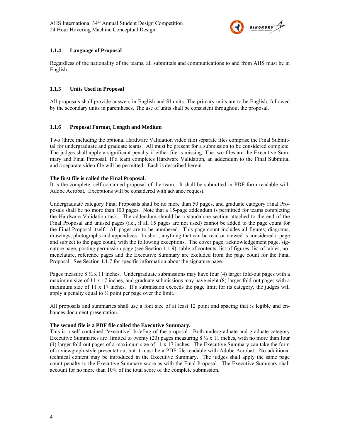

#### **1.1.4 Language of Proposal**

Regardless of the nationality of the teams, all submittals and communications to and from AHS must be in English.

#### **1.1.5 Units Used in Proposal**

All proposals shall provide answers in English and SI units. The primary units are to be English, followed by the secondary units in parentheses. The use of units shall be consistent throughout the proposal.

#### **1.1.6 Proposal Format, Length and Medium**

Two (three including the optional Hardware Validation video file) separate files comprise the Final Submittal for undergraduate and graduate teams. All must be present for a submission to be considered complete. The judges shall apply a significant penalty if either file is missing. The two files are the Executive Summary and Final Proposal. If a team completes Hardware Validation, an addendum to the Final Submittal and a separate video file will be permitted. Each is described herein.

#### **The first file is called the Final Proposal.**

It is the complete, self-contained proposal of the team. It shall be submitted in PDF form readable with Adobe Acrobat. Exceptions will be considered with advance request.

Undergraduate category Final Proposals shall be no more than 50 pages, and graduate category Final Proposals shall be no more than 100 pages. Note that a 15-page addendum is permitted for teams completing the Hardware Validation task. The addendum should be a standalone section attached to the end of the Final Proposal and unused pages (i.e., if all 15 pages are not used) cannot be added to the page count for the Final Proposal itself. All pages are to be numbered. This page count includes all figures, diagrams, drawings, photographs and appendices. In short, anything that can be read or viewed is considered a page and subject to the page count, with the following exceptions. The cover page, acknowledgement page, signature page, posting permission page (see Section 1.1.9), table of contents, list of figures, list of tables, nomenclature, reference pages and the Executive Summary are excluded from the page count for the Final Proposal. See Section 1.1.7 for specific information about the signature page.

Pages measure  $8\frac{1}{2}$  x 11 inches. Undergraduate submissions may have four (4) larger fold-out pages with a maximum size of 11 x 17 inches, and graduate submissions may have eight (8) larger fold-out pages with a maximum size of 11 x 17 inches. If a submission exceeds the page limit for its category, the judges will apply a penalty equal to  $\frac{1}{4}$  point per page over the limit.

All proposals and summaries shall use a font size of at least 12 point and spacing that is legible and enhances document presentation.

#### **The second file is a PDF file called the Executive Summary.**

This is a self-contained "executive" briefing of the proposal. Both undergraduate and graduate category Executive Summaries are limited to twenty (20) pages measuring  $8 \frac{1}{2} \times 11$  inches, with no more than four (4) larger fold-out pages of a maximum size of 11 x 17 inches. The Executive Summary can take the form of a viewgraph-style presentation, but it must be a PDF file readable with Adobe Acrobat. No additional technical content may be introduced in the Executive Summary. The judges shall apply the same page count penalty to the Executive Summary score as with the Final Proposal. The Executive Summary shall account for no more than 10% of the total score of the complete submission.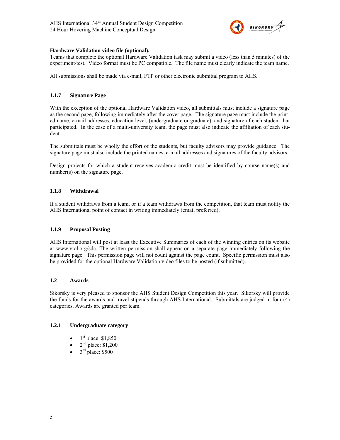

#### **Hardware Validation video file (optional).**

Teams that complete the optional Hardware Validation task may submit a video (less than 5 minutes) of the experiment/test. Video format must be PC compatible. The file name must clearly indicate the team name.

All submissions shall be made via e-mail, FTP or other electronic submittal program to AHS.

#### **1.1.7 Signature Page**

With the exception of the optional Hardware Validation video, all submittals must include a signature page as the second page, following immediately after the cover page. The signature page must include the printed name, e-mail addresses, education level, (undergraduate or graduate), and signature of each student that participated. In the case of a multi-university team, the page must also indicate the affiliation of each student.

The submittals must be wholly the effort of the students, but faculty advisors may provide guidance. The signature page must also include the printed names, e-mail addresses and signatures of the faculty advisors.

Design projects for which a student receives academic credit must be identified by course name(s) and number(s) on the signature page.

#### **1.1.8 Withdrawal**

If a student withdraws from a team, or if a team withdraws from the competition, that team must notify the AHS International point of contact in writing immediately (email preferred).

#### **1.1.9 Proposal Posting**

AHS International will post at least the Executive Summaries of each of the winning entries on its website at www.vtol.org/sdc. The written permission shall appear on a separate page immediately following the signature page. This permission page will not count against the page count. Specific permission must also be provided for the optional Hardware Validation video files to be posted (if submitted).

#### **1.2 Awards**

Sikorsky is very pleased to sponsor the AHS Student Design Competition this year. Sikorsky will provide the funds for the awards and travel stipends through AHS International. Submittals are judged in four (4) categories. Awards are granted per team.

#### **1.2.1 Undergraduate category**

- $1<sup>st</sup>$  place: \$1,850
- $2<sup>nd</sup>$  place: \$1,200
- 3<sup>rd</sup> place: \$500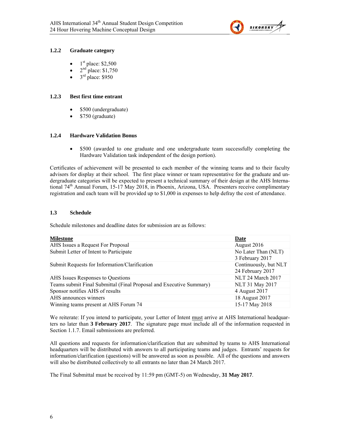

#### **1.2.2 Graduate category**

- $1<sup>st</sup>$  place: \$2,500
- $2^{nd}$  place: \$1,750
- $3<sup>rd</sup>$  place: \$950

#### **1.2.3 Best first time entrant**

- \$500 (undergraduate)
- \$750 (graduate)

#### **1.2.4 Hardware Validation Bonus**

 \$500 (awarded to one graduate and one undergraduate team successfully completing the Hardware Validation task independent of the design portion).

Certificates of achievement will be presented to each member of the winning teams and to their faculty advisors for display at their school. The first place winner or team representative for the graduate and undergraduate categories will be expected to present a technical summary of their design at the AHS International 74<sup>th</sup> Annual Forum, 15-17 May 2018, in Phoenix, Arizona, USA. Presenters receive complimentary registration and each team will be provided up to \$1,000 in expenses to help defray the cost of attendance.

#### **1.3 Schedule**

Schedule milestones and deadline dates for submission are as follows:

| Date                  |
|-----------------------|
| August 2016           |
| No Later Than (NLT)   |
| 3 February 2017       |
| Continuously, but NLT |
| 24 February 2017      |
| NLT 24 March 2017     |
| NLT 31 May 2017       |
| 4 August 2017         |
| 18 August 2017        |
| 15-17 May 2018        |
|                       |

We reiterate: If you intend to participate, your Letter of Intent must arrive at AHS International headquarters no later than **3 February 2017**. The signature page must include all of the information requested in Section 1.1.7. Email submissions are preferred.

All questions and requests for information/clarification that are submitted by teams to AHS International headquarters will be distributed with answers to all participating teams and judges. Entrants' requests for information/clarification (questions) will be answered as soon as possible. All of the questions and answers will also be distributed collectively to all entrants no later than 24 March 2017.

The Final Submittal must be received by 11:59 pm (GMT-5) on Wednesday, **31 May 2017**.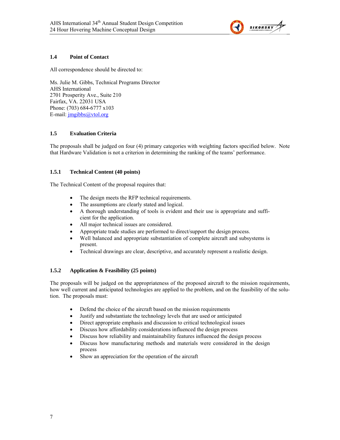

#### **1.4 Point of Contact**

All correspondence should be directed to:

Ms. Julie M. Gibbs, Technical Programs Director AHS International 2701 Prosperity Ave., Suite 210 Fairfax, VA. 22031 USA Phone: (703) 684-6777 x103 E-mail: *jmgibbs@vtol.org* 

#### **1.5 Evaluation Criteria**

The proposals shall be judged on four (4) primary categories with weighting factors specified below. Note that Hardware Validation is not a criterion in determining the ranking of the teams' performance.

#### **1.5.1 Technical Content (40 points)**

The Technical Content of the proposal requires that:

- The design meets the RFP technical requirements.
- The assumptions are clearly stated and logical.
- A thorough understanding of tools is evident and their use is appropriate and sufficient for the application.
- All major technical issues are considered.
- Appropriate trade studies are performed to direct/support the design process.
- Well balanced and appropriate substantiation of complete aircraft and subsystems is present.
- Technical drawings are clear, descriptive, and accurately represent a realistic design.

#### **1.5.2 Application & Feasibility (25 points)**

The proposals will be judged on the appropriateness of the proposed aircraft to the mission requirements, how well current and anticipated technologies are applied to the problem, and on the feasibility of the solution. The proposals must:

- Defend the choice of the aircraft based on the mission requirements
- Justify and substantiate the technology levels that are used or anticipated
- Direct appropriate emphasis and discussion to critical technological issues
- Discuss how affordability considerations influenced the design process
- Discuss how reliability and maintainability features influenced the design process
- Discuss how manufacturing methods and materials were considered in the design process
- Show an appreciation for the operation of the aircraft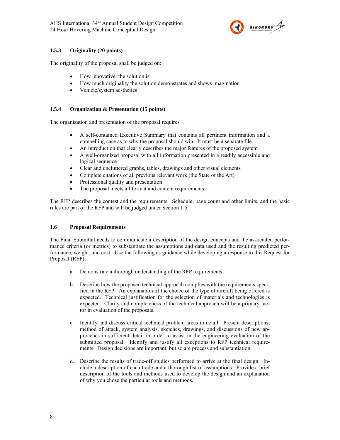

#### **1.5.3 Originality (20 points)**

The originality of the proposal shall be judged on:

- How innovative the solution is
- How much originality the solution demonstrates and shows imagination
- Vehicle/system aesthetics

#### **1.5.4 Organization & Presentation (15 points)**

The organization and presentation of the proposal requires

- A self-contained Executive Summary that contains all pertinent information and a compelling case as to why the proposal should win. It must be a separate file.
- An introduction that clearly describes the major features of the proposed system
- A well-organized proposal with all information presented in a readily accessible and logical sequence
- Clear and uncluttered graphs, tables, drawings and other visual elements
- Complete citations of all previous relevant work (the State of the Art)
- Professional quality and presentation
- The proposal meets all format and content requirements.

The RFP describes the contest and the requirements. Schedule, page count and other limits, and the basic rules are part of the RFP and will be judged under Section 1.5.

#### **1.6 Proposal Requirements**

The Final Submittal needs to communicate a description of the design concepts and the associated performance criteria (or metrics) to substantiate the assumptions and data used and the resulting predicted performance, weight, and cost. Use the following as guidance while developing a response to this Request for Proposal (RFP):

- a. Demonstrate a thorough understanding of the RFP requirements.
- b. Describe how the proposed technical approach complies with the requirements specified in the RFP. An explanation of the choice of the type of aircraft being offered is expected. Technical justification for the selection of materials and technologies is expected. Clarity and completeness of the technical approach will be a primary factor in evaluation of the proposals.
- c. Identify and discuss critical technical problem areas in detail. Present descriptions, method of attack, system analysis, sketches, drawings, and discussions of new approaches in sufficient detail in order to assist in the engineering evaluation of the submitted proposal. Identify and justify all exceptions to RFP technical requirements. Design decisions are important, but so are process and substantiation.
- d. Describe the results of trade-off studies performed to arrive at the final design. Include a description of each trade and a thorough list of assumptions. Provide a brief description of the tools and methods used to develop the design and an explanation of why you chose the particular tools and methods.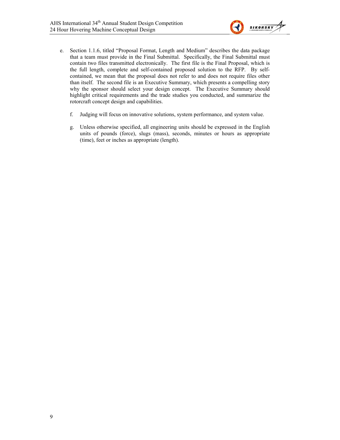

- e. Section 1.1.6, titled "Proposal Format, Length and Medium" describes the data package that a team must provide in the Final Submittal. Specifically, the Final Submittal must contain two files transmitted electronically. The first file is the Final Proposal, which is the full length, complete and self-contained proposed solution to the RFP. By selfcontained, we mean that the proposal does not refer to and does not require files other than itself. The second file is an Executive Summary, which presents a compelling story why the sponsor should select your design concept. The Executive Summary should highlight critical requirements and the trade studies you conducted, and summarize the rotorcraft concept design and capabilities.
	- f. Judging will focus on innovative solutions, system performance, and system value.
	- g. Unless otherwise specified, all engineering units should be expressed in the English units of pounds (force), slugs (mass), seconds, minutes or hours as appropriate (time), feet or inches as appropriate (length).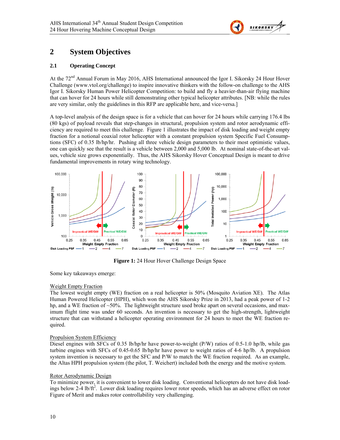

## **2 System Objectives**

#### **2.1 Operating Concept**

At the  $72<sup>nd</sup>$  Annual Forum in May 2016, AHS International announced the Igor I. Sikorsky 24 Hour Hover Challenge (www.vtol.org/challenge) to inspire innovative thinkers with the follow-on challenge to the AHS Igor I. Sikorsky Human Power Helicopter Competition: to build and fly a heavier-than-air flying machine that can hover for 24 hours while still demonstrating other typical helicopter attributes. [NB: while the rules are very similar, only the guidelines in this RFP are applicable here, and vice-versa.]

A top-level analysis of the design space is for a vehicle that can hover for 24 hours while carrying 176.4 lbs (80 kgs) of payload reveals that step-changes in structural, propulsion system and rotor aerodynamic efficiency are required to meet this challenge. Figure 1 illustrates the impact of disk loading and weight empty fraction for a notional coaxial rotor helicopter with a constant propulsion system Specific Fuel Consumptions (SFC) of 0.35 lb/hp/hr. Pushing all three vehicle design parameters to their most optimistic values, one can quickly see that the result is a vehicle between 2,000 and 5,000 lb. At nominal state-of-the-art values, vehicle size grows exponentially. Thus, the AHS Sikorsky Hover Conceptual Design is meant to drive fundamental improvements in rotary wing technology.



**Figure 1:** 24 Hour Hover Challenge Design Space

Some key takeaways emerge:

#### Weight Empty Fraction

The lowest weight empty (WE) fraction on a real helicopter is 50% (Mosquito Aviation XE). The Atlas Human Powered Helicopter (HPH), which won the AHS Sikorsky Prize in 2013, had a peak power of 1-2 hp, and a WE fraction of ~50%. The lightweight structure used broke apart on several occasions, and maximum flight time was under 60 seconds. An invention is necessary to get the high-strength, lightweight structure that can withstand a helicopter operating environment for 24 hours to meet the WE fraction required.

#### Propulsion System Efficiency

Diesel engines with SFCs of 0.35 lb/hp/hr have power-to-weight (P/W) ratios of 0.5-1.0 hp/lb, while gas turbine engines with SFCs of 0.45-0.65 lb/hp/hr have power to weight ratios of 4-6 hp/lb. A propulsion system invention is necessary to get the SFC and P/W to match the WE fraction required. As an example, the Altas HPH propulsion system (the pilot, T. Weichert) included both the energy and the motive system.

#### Rotor Aerodynamic Design

To minimize power, it is convenient to lower disk loading. Conventional helicopters do not have disk loadings below 2-4 lb/ft<sup>2</sup>. Lower disk loading requires lower rotor speeds, which has an adverse effect on rotor Figure of Merit and makes rotor controllability very challenging.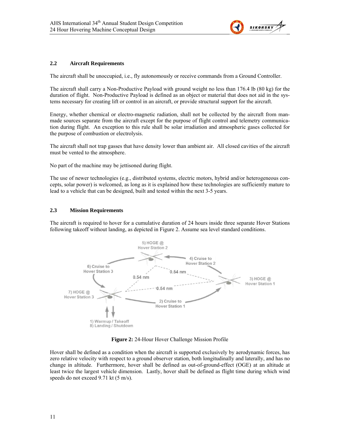

#### **2.2 Aircraft Requirements**

The aircraft shall be unoccupied, i.e., fly autonomously or receive commands from a Ground Controller.

The aircraft shall carry a Non-Productive Payload with ground weight no less than 176.4 lb (80 kg) for the duration of flight. Non-Productive Payload is defined as an object or material that does not aid in the systems necessary for creating lift or control in an aircraft, or provide structural support for the aircraft.

Energy, whether chemical or electro-magnetic radiation, shall not be collected by the aircraft from manmade sources separate from the aircraft except for the purpose of flight control and telemetry communication during flight. An exception to this rule shall be solar irradiation and atmospheric gases collected for the purpose of combustion or electrolysis.

The aircraft shall not trap gasses that have density lower than ambient air. All closed cavities of the aircraft must be vented to the atmosphere.

No part of the machine may be jettisoned during flight.

The use of newer technologies (e.g., distributed systems, electric motors, hybrid and/or heterogeneous concepts, solar power) is welcomed, as long as it is explained how these technologies are sufficiently mature to lead to a vehicle that can be designed, built and tested within the next 3-5 years.

#### **2.3 Mission Requirements**

The aircraft is required to hover for a cumulative duration of 24 hours inside three separate Hover Stations following takeoff without landing, as depicted in Figure 2. Assume sea level standard conditions.



**Figure 2:** 24-Hour Hover Challenge Mission Profile

Hover shall be defined as a condition when the aircraft is supported exclusively by aerodynamic forces, has zero relative velocity with respect to a ground observer station, both longitudinally and laterally, and has no change in altitude. Furthermore, hover shall be defined as out-of-ground-effect (OGE) at an altitude at least twice the largest vehicle dimension. Lastly, hover shall be defined as flight time during which wind speeds do not exceed 9.71 kt (5 m/s).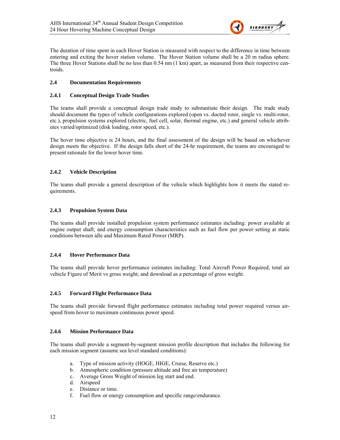

The duration of time spent in each Hover Station is measured with respect to the difference in time between entering and exiting the hover station volume. The Hover Station volume shall be a 20 m radius sphere. The three Hover Stations shall be no less than 0.54 nm (1 km) apart, as measured from their respective centroids.

#### **2.4 Documentation Requirements**

#### **2.4.1 Conceptual Design Trade Studies**

The teams shall provide a conceptual design trade study to substantiate their design. The trade study should document the types of vehicle configurations explored (open vs. ducted rotor, single vs. multi-rotor, etc.), propulsion systems explored (electric, fuel cell, solar, thermal engine, etc.) and general vehicle attributes varied/optimized (disk loading, rotor speed, etc.).

The hover time objective is 24 hours, and the final assessment of the design will be based on whichever design meets the objective. If the design falls short of the 24-hr requirement, the teams are encouraged to present rationale for the lower hover time.

#### **2.4.2 Vehicle Description**

The teams shall provide a general description of the vehicle which highlights how it meets the stated requirements.

#### **2.4.3 Propulsion System Data**

The teams shall provide installed propulsion system performance estimates including: power available at engine output shaft; and energy consumption characteristics such as fuel flow per power setting at static conditions between idle and Maximum Rated Power (MRP).

#### **2.4.4 Hover Performance Data**

The teams shall provide hover performance estimates including: Total Aircraft Power Required; total air vehicle Figure of Merit vs gross weight; and download as a percentage of gross weight.

#### **2.4.5 Forward Flight Performance Data**

The teams shall provide forward flight performance estimates including total power required versus airspeed from hover to maximum continuous power speed.

#### **2.4.6 Mission Performance Data**

The teams shall provide a segment-by-segment mission profile description that includes the following for each mission segment (assume sea level standard conditions):

- a. Type of mission activity (HOGE, HIGE, Cruise, Reserve etc.)
- b. Atmospheric condition (pressure altitude and free air temperature)
- c. Average Gross Weight of mission leg start and end.
- d. Airspeed
- e. Distance or time.
- f. Fuel flow or energy consumption and specific range/endurance.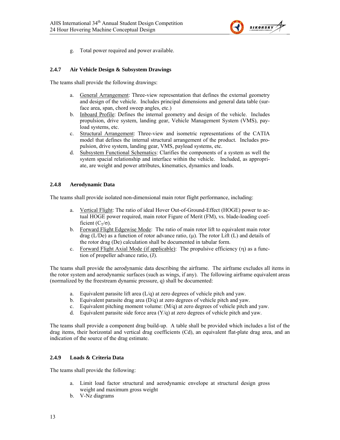

g. Total power required and power available.

#### **2.4.7 Air Vehicle Design & Subsystem Drawings**

The teams shall provide the following drawings:

- a. General Arrangement: Three-view representation that defines the external geometry and design of the vehicle. Includes principal dimensions and general data table (surface area, span, chord sweep angles, etc.)
- b. Inboard Profile: Defines the internal geometry and design of the vehicle. Includes propulsion, drive system, landing gear, Vehicle Management System (VMS), payload systems, etc.
- c. Structural Arrangement: Three-view and isometric representations of the CATIA model that defines the internal structural arrangement of the product. Includes propulsion, drive system, landing gear, VMS, payload systems, etc.
- d. Subsystem Functional Schematics: Clarifies the components of a system as well the system spacial relationship and interface within the vehicle. Included, as appropriate, are weight and power attributes, kinematics, dynamics and loads.

#### **2.4.8 Aerodynamic Data**

The teams shall provide isolated non-dimensional main rotor flight performance, including:

- a. Vertical Flight: The ratio of ideal Hover Out-of-Ground-Effect (HOGE) power to actual HOGE power required, main rotor Figure of Merit (FM), vs. blade-loading coefficient  $(C_T/\sigma)$ .
- b. Forward Flight Edgewise Mode: The ratio of main rotor lift to equivalent main rotor drag (L/De) as a function of rotor advance ratio,  $(\mu)$ . The rotor Lift (L) and details of the rotor drag (De) calculation shall be documented in tabular form.
- c. Forward Flight Axial Mode (if applicable): The propulsive efficiency  $(\eta)$  as a function of propeller advance ratio, (J).

The teams shall provide the aerodynamic data describing the airframe. The airframe excludes all items in the rotor system and aerodynamic surfaces (such as wings, if any). The following airframe equivalent areas (normalized by the freestream dynamic pressure, q) shall be documented:

- a. Equivalent parasite lift area (L/q) at zero degrees of vehicle pitch and yaw.
- b. Equivalent parasite drag area (D/q) at zero degrees of vehicle pitch and yaw.
- c. Equivalent pitching moment volume:  $(M/a)$  at zero degrees of vehicle pitch and yaw.
- d. Equivalent parasite side force area  $(Y/q)$  at zero degrees of vehicle pitch and yaw.

The teams shall provide a component drag build-up. A table shall be provided which includes a list of the drag items, their horizontal and vertical drag coefficients (Cd), an equivalent flat-plate drag area, and an indication of the source of the drag estimate.

#### **2.4.9 Loads & Criteria Data**

The teams shall provide the following:

- a. Limit load factor structural and aerodynamic envelope at structural design gross weight and maximum gross weight
- b. V-Nz diagrams